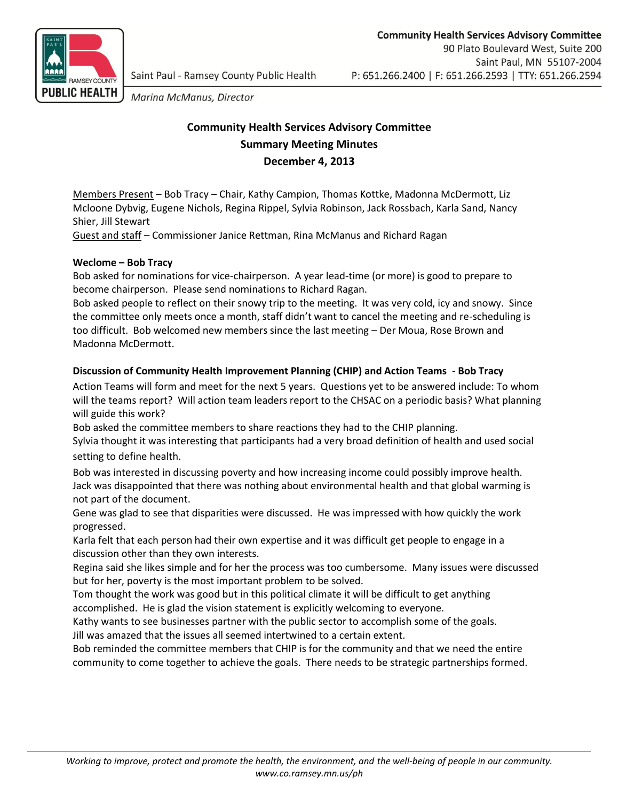

Marina McManus, Director

# **Community Health Services Advisory Committee Summary Meeting Minutes December 4, 2013**

Members Present – Bob Tracy – Chair, Kathy Campion, Thomas Kottke, Madonna McDermott, Liz Mcloone Dybvig, Eugene Nichols, Regina Rippel, Sylvia Robinson, Jack Rossbach, Karla Sand, Nancy Shier, Jill Stewart

Guest and staff – Commissioner Janice Rettman, Rina McManus and Richard Ragan

## **Weclome – Bob Tracy**

Bob asked for nominations for vice-chairperson. A year lead-time (or more) is good to prepare to become chairperson. Please send nominations to Richard Ragan.

Bob asked people to reflect on their snowy trip to the meeting. It was very cold, icy and snowy. Since the committee only meets once a month, staff didn't want to cancel the meeting and re-scheduling is too difficult. Bob welcomed new members since the last meeting – Der Moua, Rose Brown and Madonna McDermott.

## **Discussion of Community Health Improvement Planning (CHIP) and Action Teams - Bob Tracy**

Action Teams will form and meet for the next 5 years. Questions yet to be answered include: To whom will the teams report? Will action team leaders report to the CHSAC on a periodic basis? What planning will guide this work?

Bob asked the committee members to share reactions they had to the CHIP planning.

Sylvia thought it was interesting that participants had a very broad definition of health and used social setting to define health.

Bob was interested in discussing poverty and how increasing income could possibly improve health. Jack was disappointed that there was nothing about environmental health and that global warming is not part of the document.

Gene was glad to see that disparities were discussed. He was impressed with how quickly the work progressed.

Karla felt that each person had their own expertise and it was difficult get people to engage in a discussion other than they own interests.

Regina said she likes simple and for her the process was too cumbersome. Many issues were discussed but for her, poverty is the most important problem to be solved.

Tom thought the work was good but in this political climate it will be difficult to get anything accomplished. He is glad the vision statement is explicitly welcoming to everyone.

Kathy wants to see businesses partner with the public sector to accomplish some of the goals. Jill was amazed that the issues all seemed intertwined to a certain extent.

Bob reminded the committee members that CHIP is for the community and that we need the entire community to come together to achieve the goals. There needs to be strategic partnerships formed.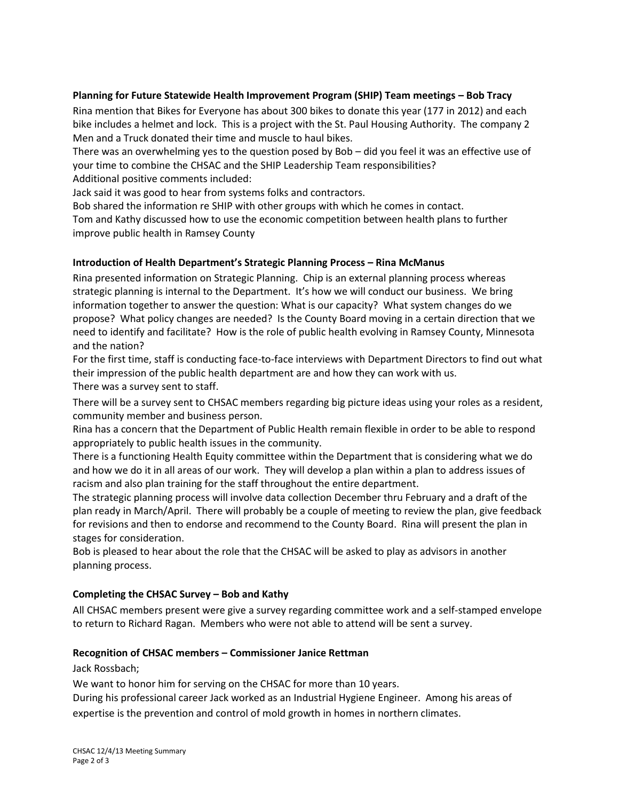## **Planning for Future Statewide Health Improvement Program (SHIP) Team meetings – Bob Tracy**

Rina mention that Bikes for Everyone has about 300 bikes to donate this year (177 in 2012) and each bike includes a helmet and lock. This is a project with the St. Paul Housing Authority. The company 2 Men and a Truck donated their time and muscle to haul bikes.

There was an overwhelming yes to the question posed by Bob – did you feel it was an effective use of your time to combine the CHSAC and the SHIP Leadership Team responsibilities?

Additional positive comments included:

Jack said it was good to hear from systems folks and contractors.

Bob shared the information re SHIP with other groups with which he comes in contact.

Tom and Kathy discussed how to use the economic competition between health plans to further improve public health in Ramsey County

#### **Introduction of Health Department's Strategic Planning Process – Rina McManus**

Rina presented information on Strategic Planning. Chip is an external planning process whereas strategic planning is internal to the Department. It's how we will conduct our business. We bring information together to answer the question: What is our capacity? What system changes do we propose? What policy changes are needed? Is the County Board moving in a certain direction that we need to identify and facilitate? How is the role of public health evolving in Ramsey County, Minnesota and the nation?

For the first time, staff is conducting face-to-face interviews with Department Directors to find out what their impression of the public health department are and how they can work with us. There was a survey sent to staff.

There will be a survey sent to CHSAC members regarding big picture ideas using your roles as a resident, community member and business person.

Rina has a concern that the Department of Public Health remain flexible in order to be able to respond appropriately to public health issues in the community.

There is a functioning Health Equity committee within the Department that is considering what we do and how we do it in all areas of our work. They will develop a plan within a plan to address issues of racism and also plan training for the staff throughout the entire department.

The strategic planning process will involve data collection December thru February and a draft of the plan ready in March/April. There will probably be a couple of meeting to review the plan, give feedback for revisions and then to endorse and recommend to the County Board. Rina will present the plan in stages for consideration.

Bob is pleased to hear about the role that the CHSAC will be asked to play as advisors in another planning process.

#### **Completing the CHSAC Survey – Bob and Kathy**

All CHSAC members present were give a survey regarding committee work and a self-stamped envelope to return to Richard Ragan. Members who were not able to attend will be sent a survey.

#### **Recognition of CHSAC members – Commissioner Janice Rettman**

Jack Rossbach;

We want to honor him for serving on the CHSAC for more than 10 years.

During his professional career Jack worked as an Industrial Hygiene Engineer. Among his areas of

expertise is the prevention and control of mold growth in homes in northern climates.